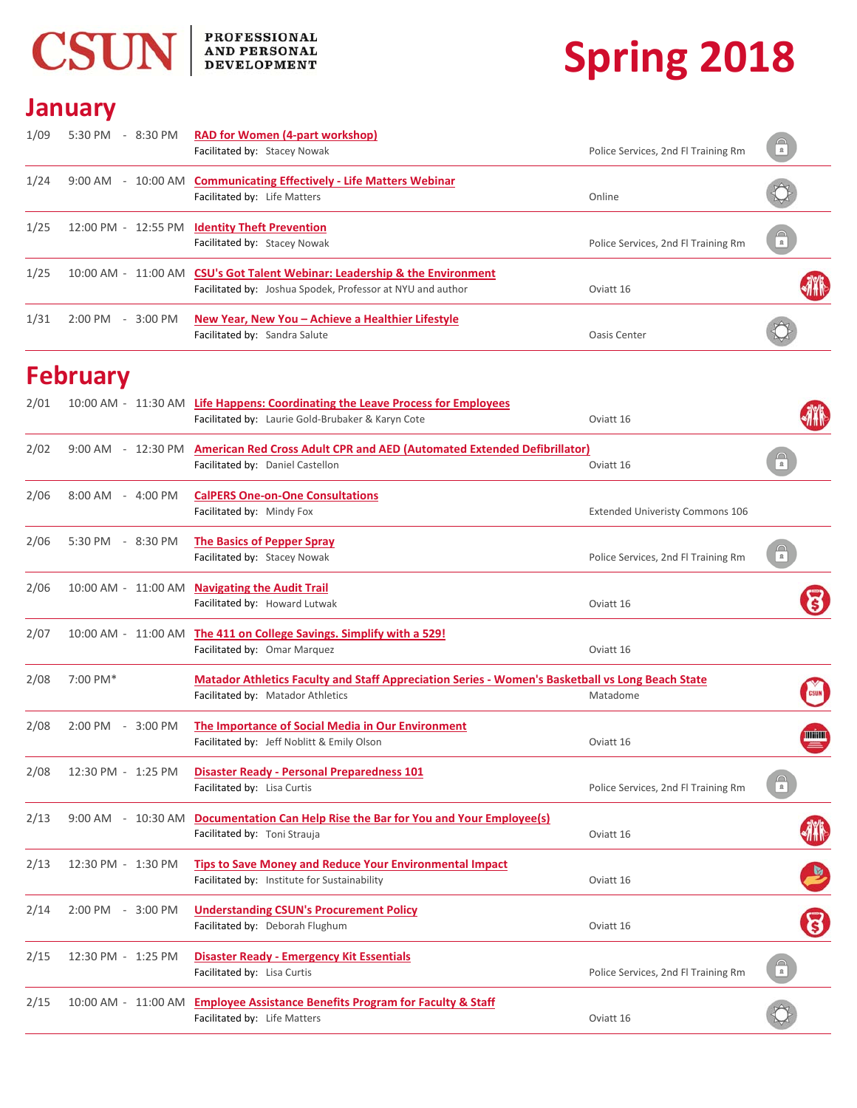

## PROFESSIONAL<br>AND PERSONAL<br>DEVELOPMENT

# **Spring 2018**

#### **January**

| 1/09 | 5:30 PM - 8:30 PM       | <b>RAD for Women (4-part workshop)</b><br>Facilitated by: Stacey Nowak                                                                   | Police Services, 2nd Fl Training Rm | $\sqrt{\frac{1}{n}}$   |
|------|-------------------------|------------------------------------------------------------------------------------------------------------------------------------------|-------------------------------------|------------------------|
| 1/24 | $9:00 \text{ AM}$       | - 10:00 AM Communicating Effectively - Life Matters Webinar<br>Facilitated by: Life Matters                                              | Online                              |                        |
| 1/25 |                         | 12:00 PM - 12:55 PM Identity Theft Prevention<br>Facilitated by: Stacey Nowak                                                            | Police Services, 2nd Fl Training Rm | $\widehat{\mathbf{r}}$ |
| 1/25 |                         | 10:00 AM - 11:00 AM CSU's Got Talent Webinar: Leadership & the Environment<br>Facilitated by: Joshua Spodek, Professor at NYU and author | Oviatt 16                           | <b>AKK</b>             |
| 1/31 | $2:00$ PM<br>$-3:00$ PM | New Year, New You - Achieve a Healthier Lifestyle<br>Facilitated by: Sandra Salute                                                       | Oasis Center                        |                        |

### **February**

| 2/01 |                    | 10:00 AM - 11:30 AM Life Happens: Coordinating the Leave Process for Employees                   |                                        |                          |
|------|--------------------|--------------------------------------------------------------------------------------------------|----------------------------------------|--------------------------|
|      |                    | Facilitated by: Laurie Gold-Brubaker & Karyn Cote                                                | Oviatt 16                              |                          |
| 2/02 |                    | 9:00 AM - 12:30 PM American Red Cross Adult CPR and AED (Automated Extended Defibrillator)       |                                        |                          |
|      |                    | Facilitated by: Daniel Castellon                                                                 | Oviatt 16                              | $\frac{1}{\alpha}$       |
| 2/06 | 8:00 AM - 4:00 PM  | <b>CalPERS One-on-One Consultations</b>                                                          |                                        |                          |
|      |                    | Facilitated by: Mindy Fox                                                                        | <b>Extended Univeristy Commons 106</b> |                          |
| 2/06 | 5:30 PM - 8:30 PM  | The Basics of Pepper Spray                                                                       |                                        |                          |
|      |                    | Facilitated by: Stacey Nowak                                                                     | Police Services, 2nd Fl Training Rm    |                          |
| 2/06 |                    | 10:00 AM - 11:00 AM Navigating the Audit Trail                                                   |                                        |                          |
|      |                    | Facilitated by: Howard Lutwak                                                                    | Oviatt 16                              |                          |
| 2/07 |                    | 10:00 AM - 11:00 AM The 411 on College Savings. Simplify with a 529!                             |                                        |                          |
|      |                    | Facilitated by: Omar Marquez                                                                     | Oviatt 16                              |                          |
| 2/08 | 7:00 PM*           | Matador Athletics Faculty and Staff Appreciation Series - Women's Basketball vs Long Beach State |                                        |                          |
|      |                    | Facilitated by: Matador Athletics                                                                | Matadome                               |                          |
| 2/08 | 2:00 PM - 3:00 PM  | The Importance of Social Media in Our Environment                                                |                                        |                          |
|      |                    | Facilitated by: Jeff Noblitt & Emily Olson                                                       | Oviatt 16                              | <b>WHAT</b>              |
| 2/08 | 12:30 PM - 1:25 PM | <b>Disaster Ready - Personal Preparedness 101</b>                                                |                                        |                          |
|      |                    | Facilitated by: Lisa Curtis                                                                      | Police Services, 2nd Fl Training Rm    | $\mathbf{a}$             |
| 2/13 | 9:00 AM - 10:30 AM | Documentation Can Help Rise the Bar for You and Your Employee(s)                                 |                                        |                          |
|      |                    | Facilitated by: Toni Strauja                                                                     | Oviatt 16                              |                          |
| 2/13 | 12:30 PM - 1:30 PM | Tips to Save Money and Reduce Your Environmental Impact                                          |                                        |                          |
|      |                    | Facilitated by: Institute for Sustainability                                                     | Oviatt 16                              |                          |
| 2/14 | 2:00 PM - 3:00 PM  | <b>Understanding CSUN's Procurement Policy</b>                                                   |                                        |                          |
|      |                    | Facilitated by: Deborah Flughum                                                                  | Oviatt 16                              | 8                        |
| 2/15 | 12:30 PM - 1:25 PM | <b>Disaster Ready - Emergency Kit Essentials</b>                                                 |                                        |                          |
|      |                    | Facilitated by: Lisa Curtis                                                                      | Police Services, 2nd Fl Training Rm    | $\bigcap_{n=1}^{\infty}$ |
| 2/15 |                    | 10:00 AM - 11:00 AM Employee Assistance Benefits Program for Faculty & Staff                     |                                        |                          |
|      |                    | Facilitated by: Life Matters                                                                     | Oviatt 16                              |                          |
|      |                    |                                                                                                  |                                        |                          |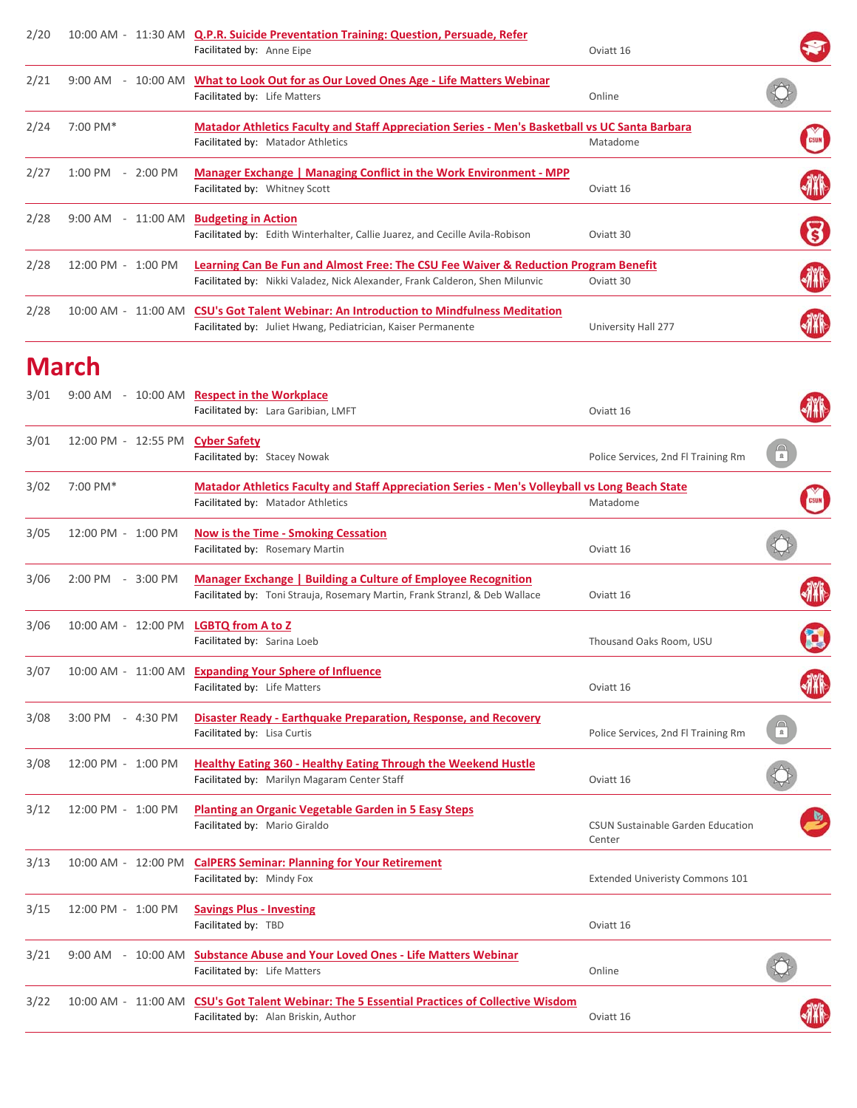| 2/20 |                                 | 10:00 AM - 11:30 AM Q.P.R. Suicide Preventation Training: Question, Persuade, Refer                                                                                 |                     |             |
|------|---------------------------------|---------------------------------------------------------------------------------------------------------------------------------------------------------------------|---------------------|-------------|
|      |                                 | Facilitated by: Anne Eipe                                                                                                                                           | Oviatt 16           |             |
| 2/21 | $9:00$ AM<br>10:00 AM<br>$\sim$ | What to Look Out for as Our Loved Ones Age - Life Matters Webinar<br>Facilitated by: Life Matters                                                                   | Online              |             |
| 2/24 | 7:00 PM*                        | <b>Matador Athletics Faculty and Staff Appreciation Series - Men's Basketball vs UC Santa Barbara</b><br>Facilitated by: Matador Athletics                          | Matadome            | <b>CSUN</b> |
| 2/27 | $1:00$ PM<br>$-2:00$ PM         | Manager Exchange   Managing Conflict in the Work Environment - MPP<br>Facilitated by: Whitney Scott                                                                 | Oviatt 16           | <b>ATA</b>  |
| 2/28 | $9:00$ AM<br>- 11:00 AM         | <b>Budgeting in Action</b><br>Facilitated by: Edith Winterhalter, Callie Juarez, and Cecille Avila-Robison                                                          | Oviatt 30           | 8           |
| 2/28 | $12:00$ PM $-$<br>$1:00$ PM     | Learning Can Be Fun and Almost Free: The CSU Fee Waiver & Reduction Program Benefit<br>Facilitated by: Nikki Valadez, Nick Alexander, Frank Calderon, Shen Milunvic | Oviatt 30           | M           |
| 2/28 | $10:00$ AM $-$<br>11:00 AM      | <b>CSU's Got Talent Webinar: An Introduction to Mindfulness Meditation</b><br>Facilitated by: Juliet Hwang, Pediatrician, Kaiser Permanente                         | University Hall 277 |             |

#### **March**

| 3/01 |                                       | 9:00 AM - 10:00 AM Respect in the Workplace                                                    |                                                    |                        |
|------|---------------------------------------|------------------------------------------------------------------------------------------------|----------------------------------------------------|------------------------|
|      |                                       | Facilitated by: Lara Garibian, LMFT                                                            | Oviatt 16                                          |                        |
| 3/01 | 12:00 PM - 12:55 PM Cyber Safety      |                                                                                                |                                                    |                        |
|      |                                       | Facilitated by: Stacey Nowak                                                                   | Police Services, 2nd Fl Training Rm                | $\widehat{\mathbb{F}}$ |
| 3/02 | 7:00 PM*                              | Matador Athletics Faculty and Staff Appreciation Series - Men's Volleyball vs Long Beach State |                                                    |                        |
|      |                                       | Facilitated by: Matador Athletics                                                              | Matadome                                           |                        |
| 3/05 | 12:00 PM - 1:00 PM                    | <b>Now is the Time - Smoking Cessation</b>                                                     |                                                    |                        |
|      |                                       | Facilitated by: Rosemary Martin                                                                | Oviatt 16                                          |                        |
| 3/06 | 2:00 PM - 3:00 PM                     | <b>Manager Exchange   Building a Culture of Employee Recognition</b>                           |                                                    |                        |
|      |                                       | Facilitated by: Toni Strauja, Rosemary Martin, Frank Stranzl, & Deb Wallace                    | Oviatt 16                                          |                        |
| 3/06 | 10:00 AM - 12:00 PM LGBTQ from A to Z |                                                                                                |                                                    |                        |
|      |                                       | Facilitated by: Sarina Loeb                                                                    | Thousand Oaks Room, USU                            |                        |
| 3/07 |                                       | 10:00 AM - 11:00 AM Expanding Your Sphere of Influence                                         |                                                    |                        |
|      |                                       | Facilitated by: Life Matters                                                                   | Oviatt 16                                          |                        |
| 3/08 | 3:00 PM - 4:30 PM                     | Disaster Ready - Earthquake Preparation, Response, and Recovery                                |                                                    |                        |
|      |                                       | Facilitated by: Lisa Curtis                                                                    | Police Services, 2nd Fl Training Rm                | $\widehat{\mathbb{C}}$ |
| 3/08 | 12:00 PM - 1:00 PM                    | <b>Healthy Eating 360 - Healthy Eating Through the Weekend Hustle</b>                          |                                                    |                        |
|      |                                       | Facilitated by: Marilyn Magaram Center Staff                                                   | Oviatt 16                                          |                        |
| 3/12 | 12:00 PM - 1:00 PM                    | <b>Planting an Organic Vegetable Garden in 5 Easy Steps</b>                                    |                                                    |                        |
|      |                                       | Facilitated by: Mario Giraldo                                                                  | <b>CSUN Sustainable Garden Education</b><br>Center |                        |
| 3/13 | 10:00 AM - 12:00 PM                   | <b>CalPERS Seminar: Planning for Your Retirement</b>                                           |                                                    |                        |
|      |                                       | Facilitated by: Mindy Fox                                                                      | <b>Extended Univeristy Commons 101</b>             |                        |
| 3/15 | 12:00 PM - 1:00 PM                    | <b>Savings Plus - Investing</b>                                                                |                                                    |                        |
|      |                                       | Facilitated by: TBD                                                                            | Oviatt 16                                          |                        |
| 3/21 |                                       | 9:00 AM - 10:00 AM Substance Abuse and Your Loved Ones - Life Matters Webinar                  |                                                    |                        |
|      |                                       | Facilitated by: Life Matters                                                                   | Online                                             |                        |
| 3/22 |                                       | 10:00 AM - 11:00 AM CSU's Got Talent Webinar: The 5 Essential Practices of Collective Wisdom   |                                                    |                        |
|      |                                       | Facilitated by: Alan Briskin, Author                                                           | Oviatt 16                                          |                        |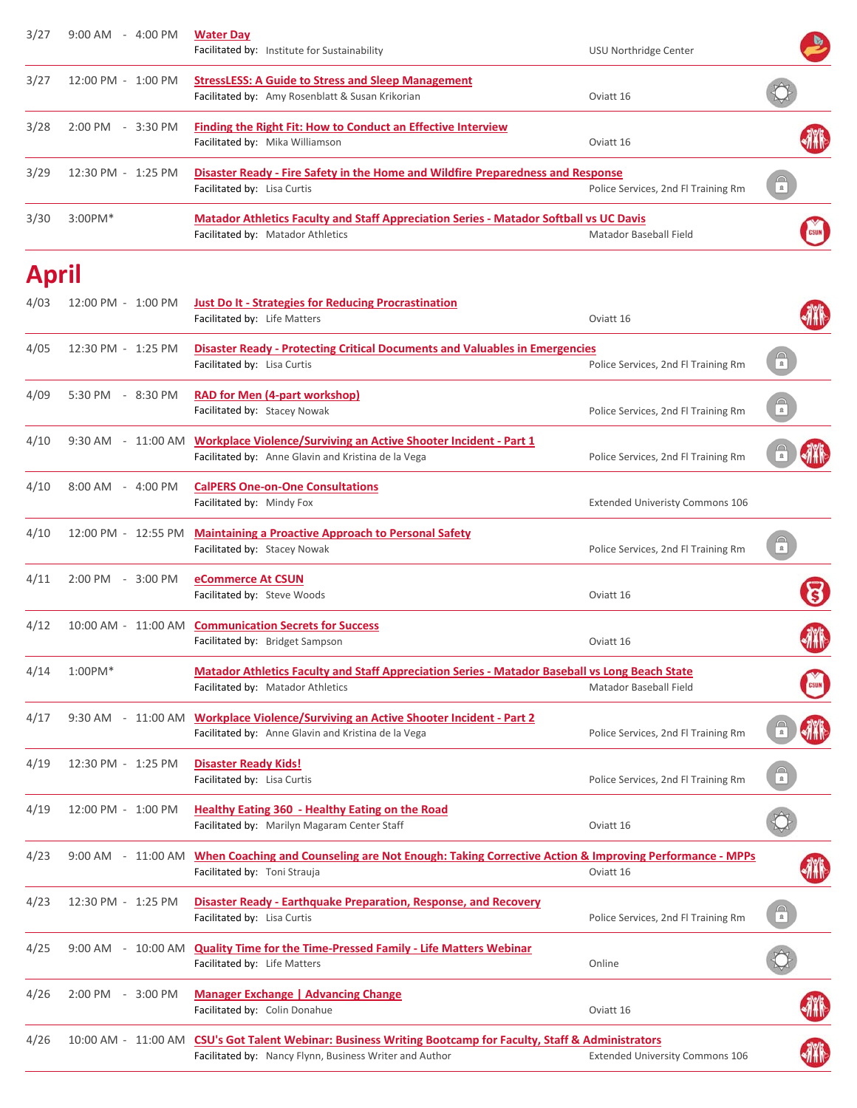| 3/27         | 9:00 AM - 4:00 PM   | <b>Water Day</b><br>Facilitated by: Institute for Sustainability                                                                                                       | USU Northridge Center                  |                          |
|--------------|---------------------|------------------------------------------------------------------------------------------------------------------------------------------------------------------------|----------------------------------------|--------------------------|
| 3/27         | 12:00 PM - 1:00 PM  | <b>StressLESS: A Guide to Stress and Sleep Management</b><br>Facilitated by: Amy Rosenblatt & Susan Krikorian                                                          | Oviatt 16                              |                          |
| 3/28         | 2:00 PM - 3:30 PM   | Finding the Right Fit: How to Conduct an Effective Interview<br>Facilitated by: Mika Williamson                                                                        | Oviatt 16                              |                          |
| 3/29         | 12:30 PM - 1:25 PM  | Disaster Ready - Fire Safety in the Home and Wildfire Preparedness and Response<br>Facilitated by: Lisa Curtis                                                         | Police Services, 2nd Fl Training Rm    | $\mathfrak{a}$           |
| 3/30         | $3:00$ PM $*$       | <b>Matador Athletics Faculty and Staff Appreciation Series - Matador Softball vs UC Davis</b><br>Facilitated by: Matador Athletics                                     | Matador Baseball Field                 |                          |
| <b>April</b> |                     |                                                                                                                                                                        |                                        |                          |
| 4/03         | 12:00 PM - 1:00 PM  | <b>Just Do It - Strategies for Reducing Procrastination</b><br>Facilitated by: Life Matters                                                                            | Oviatt 16                              |                          |
| 4/05         | 12:30 PM - 1:25 PM  | <b>Disaster Ready - Protecting Critical Documents and Valuables in Emergencies</b><br>Facilitated by: Lisa Curtis                                                      | Police Services, 2nd Fl Training Rm    | $\frac{1}{n}$            |
| 4/09         | 5:30 PM - 8:30 PM   | <b>RAD for Men (4-part workshop)</b><br>Facilitated by: Stacey Nowak                                                                                                   | Police Services, 2nd Fl Training Rm    | $\widehat{\mathbb{F}}$   |
| 4/10         |                     | 9:30 AM - 11:00 AM Workplace Violence/Surviving an Active Shooter Incident - Part 1<br>Facilitated by: Anne Glavin and Kristina de la Vega                             | Police Services, 2nd Fl Training Rm    |                          |
| 4/10         | 8:00 AM - 4:00 PM   | <b>CalPERS One-on-One Consultations</b><br>Facilitated by: Mindy Fox                                                                                                   | <b>Extended Univeristy Commons 106</b> |                          |
| 4/10         | 12:00 PM - 12:55 PM | <b>Maintaining a Proactive Approach to Personal Safety</b><br>Facilitated by: Stacey Nowak                                                                             | Police Services, 2nd Fl Training Rm    |                          |
| 4/11         | 2:00 PM - 3:00 PM   | eCommerce At CSUN<br>Facilitated by: Steve Woods                                                                                                                       | Oviatt 16                              |                          |
| 4/12         |                     | 10:00 AM - 11:00 AM Communication Secrets for Success<br>Facilitated by: Bridget Sampson                                                                               | Oviatt 16                              |                          |
| 4/14         | $1:00$ PM $*$       | <b>Matador Athletics Faculty and Staff Appreciation Series - Matador Baseball vs Long Beach State</b><br>Facilitated by: Matador Athletics                             | Matador Baseball Field                 |                          |
| 4/17         | 9:30 AM             | - 11:00 AM Workplace Violence/Surviving an Active Shooter Incident - Part 2<br>Facilitated by: Anne Glavin and Kristina de la Vega                                     | Police Services, 2nd Fl Training Rm    |                          |
| 4/19         | 12:30 PM - 1:25 PM  | <b>Disaster Ready Kids!</b><br>Facilitated by: Lisa Curtis                                                                                                             | Police Services, 2nd Fl Training Rm    | $\widehat{\mathbf{r}}$   |
| 4/19         | 12:00 PM - 1:00 PM  | Healthy Eating 360 - Healthy Eating on the Road<br>Facilitated by: Marilyn Magaram Center Staff                                                                        | Oviatt 16                              |                          |
| 4/23         | 9:00 AM - 11:00 AM  | When Coaching and Counseling are Not Enough: Taking Corrective Action & Improving Performance - MPPs<br>Facilitated by: Toni Strauja                                   | Oviatt 16                              |                          |
| 4/23         | 12:30 PM - 1:25 PM  | Disaster Ready - Earthquake Preparation, Response, and Recovery<br>Facilitated by: Lisa Curtis                                                                         | Police Services, 2nd Fl Training Rm    | $\bigcap_{n=1}^{\infty}$ |
| 4/25         | 9:00 AM             | - 10:00 AM Quality Time for the Time-Pressed Family - Life Matters Webinar<br>Facilitated by: Life Matters                                                             | Online                                 |                          |
| 4/26         | 2:00 PM - 3:00 PM   | <b>Manager Exchange   Advancing Change</b><br>Facilitated by: Colin Donahue                                                                                            | Oviatt 16                              |                          |
| 4/26         |                     | 10:00 AM - 11:00 AM CSU's Got Talent Webinar: Business Writing Bootcamp for Faculty, Staff & Administrators<br>Facilitated by: Nancy Flynn, Business Writer and Author | <b>Extended University Commons 106</b> |                          |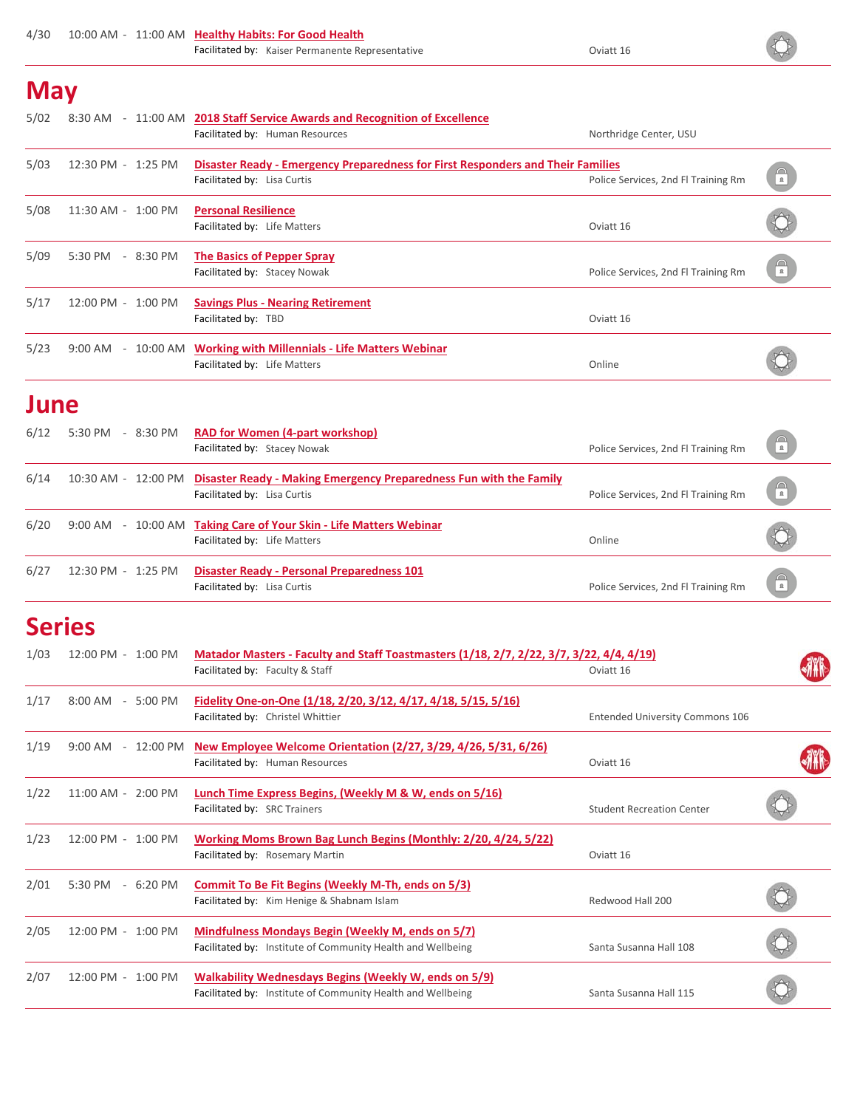#### **May**

| 5/02 | 8:30 AM                     | - 11:00 AM 2018 Staff Service Awards and Recognition of Excellence<br>Facilitated by: Human Resources          | Northridge Center, USU              |                          |
|------|-----------------------------|----------------------------------------------------------------------------------------------------------------|-------------------------------------|--------------------------|
| 5/03 | 12:30 PM - 1:25 PM          | Disaster Ready - Emergency Preparedness for First Responders and Their Families<br>Facilitated by: Lisa Curtis | Police Services, 2nd FI Training Rm | $\mathfrak n$            |
| 5/08 | 11:30 AM - 1:00 PM          | <b>Personal Resilience</b><br>Facilitated by: Life Matters                                                     | Oviatt 16                           |                          |
| 5/09 | 5:30 PM<br>$-8:30$ PM       | The Basics of Pepper Spray<br>Facilitated by: Stacey Nowak                                                     | Police Services, 2nd Fl Training Rm | $\Box$<br>$\,$ $\,$ $\,$ |
| 5/17 | 12:00 PM - 1:00 PM          | <b>Savings Plus - Nearing Retirement</b><br>Facilitated by: TBD                                                | Oviatt 16                           |                          |
| 5/23 | $9:00 \text{ AM}$<br>$\sim$ | 10:00 AM Working with Millennials - Life Matters Webinar<br>Facilitated by: Life Matters                       | Online                              |                          |

 $\hat{\mathbf{Q}}$ 

#### **June**

| 6/12 | $-8:30$ PM<br>5:30 PM            | <b>RAD for Women (4-part workshop)</b><br>Facilitated by: Stacey Nowak                                                | Police Services, 2nd Fl Training Rm | $\bigcirc$ |
|------|----------------------------------|-----------------------------------------------------------------------------------------------------------------------|-------------------------------------|------------|
| 6/14 |                                  | 10:30 AM - 12:00 PM Disaster Ready - Making Emergency Preparedness Fun with the Family<br>Facilitated by: Lisa Curtis | Police Services, 2nd Fl Training Rm | $\bigcirc$ |
| 6/20 |                                  | 9:00 AM - 10:00 AM Taking Care of Your Skin - Life Matters Webinar<br>Facilitated by: Life Matters                    | Online                              |            |
| 6/27 | 1:25 PM<br>$12:30 \text{ PM } -$ | <b>Disaster Ready - Personal Preparedness 101</b><br>Facilitated by: Lisa Curtis                                      | Police Services, 2nd Fl Training Rm | $\bigcirc$ |

#### **Series**

| 1/03<br>12:00 PM - 1:00 PM |                                 | <u> Matador Masters - Faculty and Staff Toastmasters (1/18, 2/7, 2/22, 3/7, 3/22, 4/4, 4/19)</u> |                                        |   |
|----------------------------|---------------------------------|--------------------------------------------------------------------------------------------------|----------------------------------------|---|
|                            |                                 | Facilitated by: Faculty & Staff                                                                  | Oviatt 16                              |   |
| 1/17                       | 8:00 AM<br>5:00 PM<br>$\sim$    | <u>Fidelity One-on-One (1/18, 2/20, 3/12, 4/17, 4/18, 5/15, 5/16)</u>                            |                                        |   |
|                            |                                 | Facilitated by: Christel Whittier                                                                | <b>Entended University Commons 106</b> |   |
| 1/19                       | $9:00$ AM<br>12:00 PM<br>$\sim$ | New Employee Welcome Orientation (2/27, 3/29, 4/26, 5/31, 6/26)                                  |                                        |   |
|                            |                                 | Facilitated by: Human Resources                                                                  | Oviatt 16                              | 狦 |
| 1/22                       | $11:00$ AM -<br>$2:00$ PM       | Lunch Time Express Begins, (Weekly M & W, ends on 5/16)                                          |                                        |   |
|                            |                                 | Facilitated by: SRC Trainers                                                                     | <b>Student Recreation Center</b>       |   |
| 1/23                       | 12:00 PM -<br>$1:00$ PM         | Working Moms Brown Bag Lunch Begins (Monthly: 2/20, 4/24, 5/22)                                  |                                        |   |
|                            |                                 | Facilitated by: Rosemary Martin                                                                  | Oviatt 16                              |   |
| 2/01                       | 5:30 PM<br>$-6:20$ PM           | Commit To Be Fit Begins (Weekly M-Th, ends on 5/3)                                               |                                        |   |
|                            |                                 | Facilitated by: Kim Henige & Shabnam Islam                                                       | Redwood Hall 200                       |   |
| 2/05                       | $12:00$ PM $-$<br>$1:00$ PM     | Mindfulness Mondays Begin (Weekly M, ends on 5/7)                                                |                                        |   |
|                            |                                 | Facilitated by: Institute of Community Health and Wellbeing                                      | Santa Susanna Hall 108                 |   |
| 2/07                       | $12:00$ PM $-$<br>$1:00$ PM     | Walkability Wednesdays Begins (Weekly W, ends on 5/9)                                            |                                        |   |
|                            |                                 | Facilitated by: Institute of Community Health and Wellbeing                                      | Santa Susanna Hall 115                 |   |